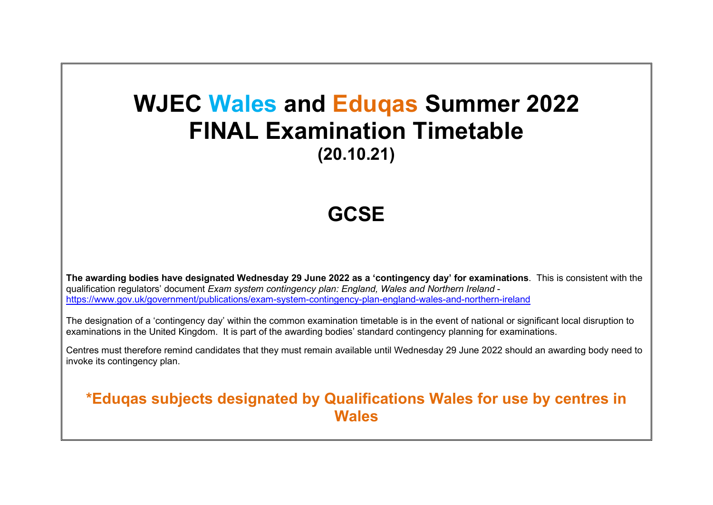## **WJEC Wales and Eduqas Summer 2022 FINAL Examination Timetable (20.10.21)**

## **GCSE**

**The awarding bodies have designated Wednesday 29 June 2022 as a 'contingency day' for examinations**. This is consistent with the qualification regulators' document *Exam system contingency plan: England, Wales and Northern Ireland*  <https://www.gov.uk/government/publications/exam-system-contingency-plan-england-wales-and-northern-ireland>

The designation of a 'contingency day' within the common examination timetable is in the event of national or significant local disruption to examinations in the United Kingdom. It is part of the awarding bodies' standard contingency planning for examinations.

Centres must therefore remind candidates that they must remain available until Wednesday 29 June 2022 should an awarding body need to invoke its contingency plan.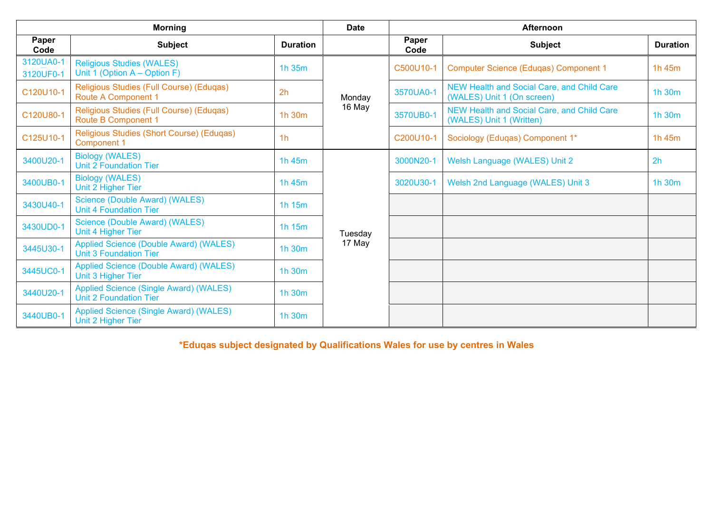| <b>Morning</b>         |                                                                                |                 | <b>Date</b> | Afternoon     |                                                                          |                 |  |
|------------------------|--------------------------------------------------------------------------------|-----------------|-------------|---------------|--------------------------------------------------------------------------|-----------------|--|
| Paper<br>Code          | <b>Subject</b>                                                                 | <b>Duration</b> |             | Paper<br>Code | <b>Subject</b>                                                           | <b>Duration</b> |  |
| 3120UA0-1<br>3120UF0-1 | <b>Religious Studies (WALES)</b><br>Unit 1 (Option $A -$ Option F)             | 1h 35m          |             | C500U10-1     | <b>Computer Science (Eduqas) Component 1</b>                             | 1h 45m          |  |
| C120U10-1              | Religious Studies (Full Course) (Eduqas)<br><b>Route A Component 1</b>         | 2 <sub>h</sub>  | Monday      | 3570UA0-1     | NEW Health and Social Care, and Child Care<br>(WALES) Unit 1 (On screen) | 1h 30m          |  |
| C120U80-1              | Religious Studies (Full Course) (Eduqas)<br><b>Route B Component 1</b>         | 1h 30m          | 16 May      | 3570UB0-1     | NEW Health and Social Care, and Child Care<br>(WALES) Unit 1 (Written)   | 1h 30m          |  |
| C125U10-1              | Religious Studies (Short Course) (Eduqas)<br><b>Component 1</b>                | 1 <sub>h</sub>  |             | C200U10-1     | Sociology (Eduqas) Component 1*                                          | 1h 45m          |  |
| 3400U20-1              | <b>Biology (WALES)</b><br><b>Unit 2 Foundation Tier</b>                        | 1h 45m          |             | 3000N20-1     | Welsh Language (WALES) Unit 2                                            | 2 <sub>h</sub>  |  |
| 3400UB0-1              | <b>Biology (WALES)</b><br>Unit 2 Higher Tier                                   | 1h 45m          |             | 3020U30-1     | Welsh 2nd Language (WALES) Unit 3                                        | 1h 30m          |  |
| 3430U40-1              | Science (Double Award) (WALES)<br><b>Unit 4 Foundation Tier</b>                | 1h 15m          |             |               |                                                                          |                 |  |
| 3430UD0-1              | Science (Double Award) (WALES)<br>Unit 4 Higher Tier                           | 1h 15m          | Tuesday     |               |                                                                          |                 |  |
| 3445U30-1              | <b>Applied Science (Double Award) (WALES)</b><br><b>Unit 3 Foundation Tier</b> | 1h 30m          | 17 May      |               |                                                                          |                 |  |
| 3445UC0-1              | <b>Applied Science (Double Award) (WALES)</b><br>Unit 3 Higher Tier            | 1h 30m          |             |               |                                                                          |                 |  |
| 3440U20-1              | Applied Science (Single Award) (WALES)<br><b>Unit 2 Foundation Tier</b>        | 1h 30m          |             |               |                                                                          |                 |  |
| 3440UB0-1              | <b>Applied Science (Single Award) (WALES)</b><br>Unit 2 Higher Tier            | 1h 30m          |             |               |                                                                          |                 |  |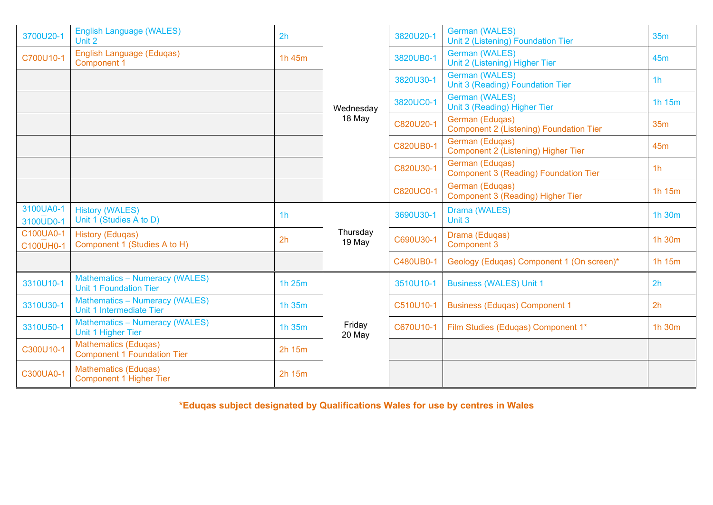| 3700U20-1              | <b>English Language (WALES)</b><br>Unit 2                              | 2h             |                    | 3820U20-1        | <b>German (WALES)</b><br>Unit 2 (Listening) Foundation Tier       | 35 <sub>m</sub> |
|------------------------|------------------------------------------------------------------------|----------------|--------------------|------------------|-------------------------------------------------------------------|-----------------|
| C700U10-1              | English Language (Eduqas)<br><b>Component 1</b>                        | 1h 45m         |                    | 3820UB0-1        | <b>German (WALES)</b><br>Unit 2 (Listening) Higher Tier           | 45 <sub>m</sub> |
|                        |                                                                        |                |                    | 3820U30-1        | <b>German (WALES)</b><br>Unit 3 (Reading) Foundation Tier         | 1 <sub>h</sub>  |
|                        |                                                                        |                | Wednesday          | 3820UC0-1        | <b>German (WALES)</b><br>Unit 3 (Reading) Higher Tier             | 1h 15m          |
|                        |                                                                        |                | 18 May             | C820U20-1        | German (Edugas)<br><b>Component 2 (Listening) Foundation Tier</b> | 35m             |
|                        |                                                                        |                |                    | C820UB0-1        | German (Eduqas)<br>Component 2 (Listening) Higher Tier            | 45 <sub>m</sub> |
|                        |                                                                        |                |                    | C820U30-1        | German (Eduqas)<br><b>Component 3 (Reading) Foundation Tier</b>   | 1 <sub>h</sub>  |
|                        |                                                                        |                |                    | <b>C820UC0-1</b> | German (Eduqas)<br>Component 3 (Reading) Higher Tier              | 1h 15m          |
| 3100UA0-1<br>3100UD0-1 | <b>History (WALES)</b><br>Unit 1 (Studies A to D)                      | 1 <sub>h</sub> |                    | 3690U30-1        | Drama (WALES)<br>Unit 3                                           | 1h 30m          |
| C100UA0-1<br>C100UH0-1 | <b>History (Eduqas)</b><br>Component 1 (Studies A to H)                | 2h             | Thursday<br>19 May | C690U30-1        | Drama (Eduqas)<br><b>Component 3</b>                              | 1h 30m          |
|                        |                                                                        |                |                    | C480UB0-1        | Geology (Eduqas) Component 1 (On screen)*                         | 1h 15m          |
| 3310U10-1              | <b>Mathematics - Numeracy (WALES)</b><br><b>Unit 1 Foundation Tier</b> | 1h 25m         |                    | 3510U10-1        | <b>Business (WALES) Unit 1</b>                                    | 2 <sub>h</sub>  |
| 3310U30-1              | <b>Mathematics - Numeracy (WALES)</b><br>Unit 1 Intermediate Tier      | 1h 35m         |                    | C510U10-1        | <b>Business (Eduqas) Component 1</b>                              | 2h              |
| 3310U50-1              | <b>Mathematics - Numeracy (WALES)</b><br>Unit 1 Higher Tier            | 1h 35m         | Friday<br>20 May   | C670U10-1        | Film Studies (Eduqas) Component 1*                                | 1h 30m          |
| C300U10-1              | <b>Mathematics (Eduqas)</b><br><b>Component 1 Foundation Tier</b>      | 2h 15m         |                    |                  |                                                                   |                 |
| C300UA0-1              | <b>Mathematics (Eduqas)</b><br><b>Component 1 Higher Tier</b>          | 2h 15m         |                    |                  |                                                                   |                 |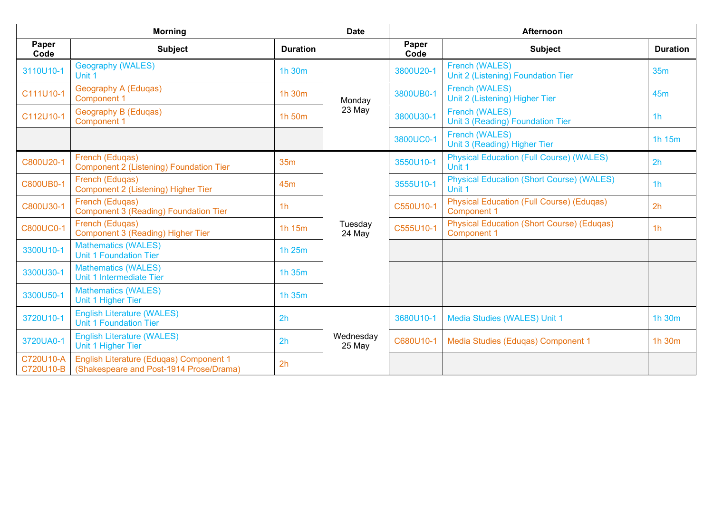| <b>Morning</b>         |                                                                                    |                 | <b>Date</b>         | <b>Afternoon</b> |                                                                         |                 |  |
|------------------------|------------------------------------------------------------------------------------|-----------------|---------------------|------------------|-------------------------------------------------------------------------|-----------------|--|
| Paper<br>Code          | <b>Subject</b>                                                                     | <b>Duration</b> |                     | Paper<br>Code    | <b>Subject</b>                                                          | <b>Duration</b> |  |
| 3110U10-1              | <b>Geography (WALES)</b><br>Unit 1                                                 | 1h 30m          |                     | 3800U20-1        | French (WALES)<br>Unit 2 (Listening) Foundation Tier                    | 35m             |  |
| C111U10-1              | <b>Geography A (Eduqas)</b><br><b>Component 1</b>                                  | 1h 30m          | Monday              | 3800UB0-1        | French (WALES)<br>Unit 2 (Listening) Higher Tier                        | 45 <sub>m</sub> |  |
| C112U10-1              | Geography B (Eduqas)<br><b>Component 1</b>                                         | 1h 50m          | 23 May              | 3800U30-1        | French (WALES)<br>Unit 3 (Reading) Foundation Tier                      | 1 <sub>h</sub>  |  |
|                        |                                                                                    |                 |                     | 3800UC0-1        | <b>French (WALES)</b><br>Unit 3 (Reading) Higher Tier                   | 1h 15m          |  |
| C800U20-1              | French (Eduqas)<br>Component 2 (Listening) Foundation Tier                         | <b>35m</b>      |                     | 3550U10-1        | <b>Physical Education (Full Course) (WALES)</b><br>Unit 1               | 2 <sub>h</sub>  |  |
| <b>C800UB0-1</b>       | French (Edugas)<br>Component 2 (Listening) Higher Tier                             | 45 <sub>m</sub> |                     | 3555U10-1        | <b>Physical Education (Short Course) (WALES)</b><br>Unit 1              | 1 <sub>h</sub>  |  |
| C800U30-1              | French (Eduqas)<br><b>Component 3 (Reading) Foundation Tier</b>                    | 1 <sub>h</sub>  |                     | C550U10-1        | <b>Physical Education (Full Course) (Eduqas)</b><br><b>Component 1</b>  | 2h              |  |
| <b>C800UC0-1</b>       | French (Edugas)<br>Component 3 (Reading) Higher Tier                               | 1h 15m          | Tuesday<br>24 May   | C555U10-1        | <b>Physical Education (Short Course) (Edugas)</b><br><b>Component 1</b> | 1 <sub>h</sub>  |  |
| 3300U10-1              | <b>Mathematics (WALES)</b><br><b>Unit 1 Foundation Tier</b>                        | 1h 25m          |                     |                  |                                                                         |                 |  |
| 3300U30-1              | <b>Mathematics (WALES)</b><br>Unit 1 Intermediate Tier                             | 1h 35m          |                     |                  |                                                                         |                 |  |
| 3300U50-1              | <b>Mathematics (WALES)</b><br>Unit 1 Higher Tier                                   | 1h 35m          |                     |                  |                                                                         |                 |  |
| 3720U10-1              | <b>English Literature (WALES)</b><br><b>Unit 1 Foundation Tier</b>                 | 2 <sub>h</sub>  |                     | 3680U10-1        | Media Studies (WALES) Unit 1                                            | 1h 30m          |  |
| 3720UA0-1              | <b>English Literature (WALES)</b><br>Unit 1 Higher Tier                            | 2h              | Wednesday<br>25 May | C680U10-1        | Media Studies (Edugas) Component 1                                      | 1h 30m          |  |
| C720U10-A<br>C720U10-B | English Literature (Eduqas) Component 1<br>(Shakespeare and Post-1914 Prose/Drama) | 2h              |                     |                  |                                                                         |                 |  |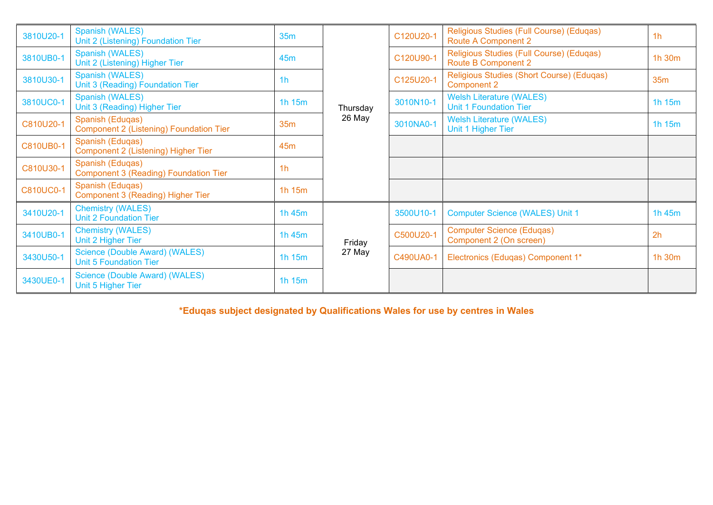| 3810U20-2        | Spanish (WALES)<br>Unit 2 (Listening) Foundation Tier              | 35m             |          | C120U20-1 | Religious Studies (Full Course) (Eduqas)<br><b>Route A Component 2</b> | 1 <sub>h</sub> |
|------------------|--------------------------------------------------------------------|-----------------|----------|-----------|------------------------------------------------------------------------|----------------|
| 3810UB0-1        | Spanish (WALES)<br>Unit 2 (Listening) Higher Tier                  | 45m             |          | C120U90-1 | Religious Studies (Full Course) (Eduqas)<br><b>Route B Component 2</b> | 1h 30m         |
| 3810U30-1        | <b>Spanish (WALES)</b><br>Unit 3 (Reading) Foundation Tier         | 1 <sub>h</sub>  |          | C125U20-1 | Religious Studies (Short Course) (Eduqas)<br><b>Component 2</b>        | 35m            |
| 3810UC0-1        | Spanish (WALES)<br>Unit 3 (Reading) Higher Tier                    | 1h 15m          | Thursday | 3010N10-1 | <b>Welsh Literature (WALES)</b><br><b>Unit 1 Foundation Tier</b>       | 1h 15m         |
| C810U20-1        | Spanish (Eduqas)<br><b>Component 2 (Listening) Foundation Tier</b> | 35m             | 26 May   | 3010NA0-1 | <b>Welsh Literature (WALES)</b><br>Unit 1 Higher Tier                  | 1h 15m         |
| <b>C810UB0-1</b> | Spanish (Eduqas)<br>Component 2 (Listening) Higher Tier            | 45 <sub>m</sub> |          |           |                                                                        |                |
| C810U30-1        | Spanish (Eduqas)<br><b>Component 3 (Reading) Foundation Tier</b>   | 1 <sub>h</sub>  |          |           |                                                                        |                |
| <b>C810UC0-1</b> | Spanish (Eduqas)<br>Component 3 (Reading) Higher Tier              | 1 $h$ 15 $m$    |          |           |                                                                        |                |
| 3410U20-1        | <b>Chemistry (WALES)</b><br><b>Unit 2 Foundation Tier</b>          | 1h 45m          |          | 3500U10-1 | <b>Computer Science (WALES) Unit 1</b>                                 | 1h 45m         |
| 3410UB0-1        | <b>Chemistry (WALES)</b><br>Unit 2 Higher Tier                     | 1h 45m          | Friday   | C500U20-1 | <b>Computer Science (Eduqas)</b><br>Component 2 (On screen)            | 2h             |
| 3430U50-1        | Science (Double Award) (WALES)<br><b>Unit 5 Foundation Tier</b>    | 1h 15m          | 27 May   | C490UA0-1 | Electronics (Eduqas) Component 1*                                      | 1h 30m         |
| 3430UE0-1        | Science (Double Award) (WALES)<br>Unit 5 Higher Tier               | 1h 15m          |          |           |                                                                        |                |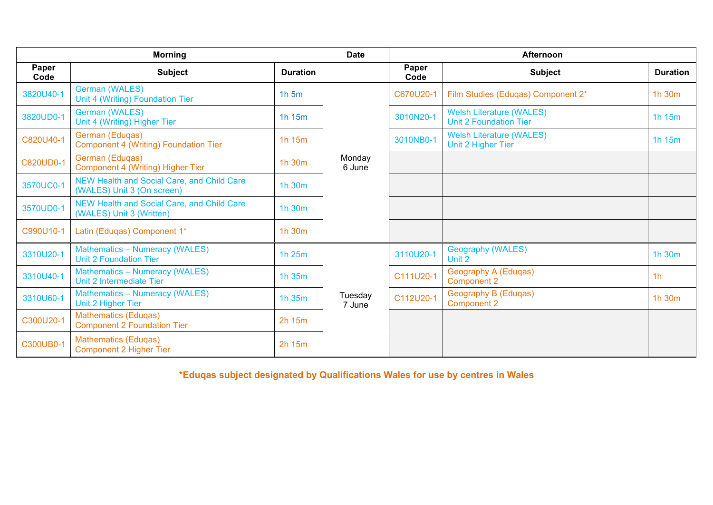|               | <b>Morning</b>                                                           |                 | <b>Date</b>       | <b>Afternoon</b> |                                                                  |                 |  |
|---------------|--------------------------------------------------------------------------|-----------------|-------------------|------------------|------------------------------------------------------------------|-----------------|--|
| Paper<br>Code | <b>Subject</b>                                                           | <b>Duration</b> |                   | Paper<br>Code    | <b>Subject</b>                                                   | <b>Duration</b> |  |
| 3820U40-1     | <b>German (WALES)</b><br>Unit 4 (Writing) Foundation Tier                | $1h$ 5m         |                   | C670U20-1        | Film Studies (Eduqas) Component 2*                               | 1h 30m          |  |
| 3820UD0-1     | <b>German (WALES)</b><br>Unit 4 (Writing) Higher Tier                    | 1h 15m          |                   | 3010N20-1        | <b>Welsh Literature (WALES)</b><br><b>Unit 2 Foundation Tier</b> | 1h 15m          |  |
| C820U40-1     | German (Eduqas)<br><b>Component 4 (Writing) Foundation Tier</b>          | 1h 15m          | Monday<br>6 June  | 3010NB0-1        | <b>Welsh Literature (WALES)</b><br>Unit 2 Higher Tier            | 1h 15m          |  |
| C820UD0-1     | German (Eduqas)<br>Component 4 (Writing) Higher Tier                     | 1h 30m          |                   |                  |                                                                  |                 |  |
| 3570UC0-1     | NEW Health and Social Care, and Child Care<br>(WALES) Unit 3 (On screen) | 1h 30m          |                   |                  |                                                                  |                 |  |
| 3570UD0-1     | NEW Health and Social Care, and Child Care<br>(WALES) Unit 3 (Written)   | 1h 30m          |                   |                  |                                                                  |                 |  |
| C990U10-1     | Latin (Eduqas) Component 1*                                              | 1h 30m          |                   |                  |                                                                  |                 |  |
| 3310U20-1     | <b>Mathematics - Numeracy (WALES)</b><br><b>Unit 2 Foundation Tier</b>   | 1h 25m          |                   | 3110U20-1        | Geography (WALES)<br>Unit 2                                      | 1h 30m          |  |
| 3310U40-1     | <b>Mathematics - Numeracy (WALES)</b><br>Unit 2 Intermediate Tier        | 1h 35m          |                   | C111U20-1        | Geography A (Eduqas)<br><b>Component 2</b>                       | 1 <sub>h</sub>  |  |
| 3310U60-1     | <b>Mathematics - Numeracy (WALES)</b><br>Unit 2 Higher Tier              | 1h 35m          | Tuesday<br>7 June | C112U20-1        | Geography B (Eduqas)<br><b>Component 2</b>                       | 1h 30m          |  |
| C300U20-1     | <b>Mathematics (Eduqas)</b><br><b>Component 2 Foundation Tier</b>        | 2h 15m          |                   |                  |                                                                  |                 |  |
| C300UB0-1     | <b>Mathematics (Eduqas)</b><br><b>Component 2 Higher Tier</b>            | 2h 15m          |                   |                  |                                                                  |                 |  |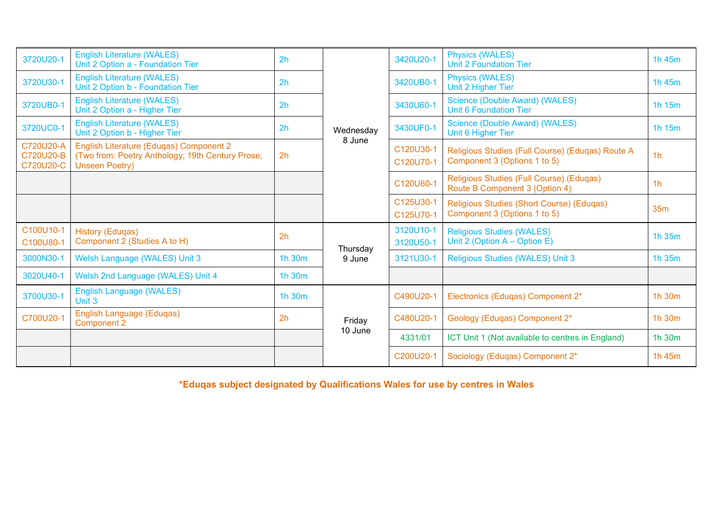| 3720U20-1                           | <b>English Literature (WALES)</b><br>Unit 2 Option a - Foundation Tier                                               | 2 <sub>h</sub> |           | 3420U20-1              | <b>Physics (WALES)</b><br><b>Unit 2 Foundation Tier</b>                          | 1h 45m         |
|-------------------------------------|----------------------------------------------------------------------------------------------------------------------|----------------|-----------|------------------------|----------------------------------------------------------------------------------|----------------|
| 3720U30-1                           | <b>English Literature (WALES)</b><br>Unit 2 Option b - Foundation Tier                                               | 2h             |           | 3420UB0-1              | <b>Physics (WALES)</b><br>Unit 2 Higher Tier                                     | 1h 45m         |
| 3720UB0-1                           | <b>English Literature (WALES)</b><br>Unit 2 Option a - Higher Tier                                                   | 2h             |           | 3430U60-1              | Science (Double Award) (WALES)<br><b>Unit 6 Foundation Tier</b>                  | 1h 15m         |
| 3720UC0-1                           | <b>English Literature (WALES)</b><br>Unit 2 Option b - Higher Tier                                                   | 2h             | Wednesday | 3430UF0-1              | Science (Double Award) (WALES)<br>Unit 6 Higher Tier                             | 1h 15m         |
| C720U20-A<br>C720U20-B<br>C720U20-C | English Literature (Eduqas) Component 2<br>(Two from: Poetry Anthology; 19th Century Prose;<br><b>Unseen Poetry)</b> | 2 <sub>h</sub> | 8 June    | C120U30-1<br>C120U70-1 | Religious Studies (Full Course) (Eduqas) Route A<br>Component 3 (Options 1 to 5) | 1 <sub>h</sub> |
|                                     |                                                                                                                      |                |           | C120U60-1              | Religious Studies (Full Course) (Eduqas)<br>Route B Component 3 (Option 4)       | 1 <sub>h</sub> |
|                                     |                                                                                                                      |                |           | C125U30-1<br>C125U70-1 | Religious Studies (Short Course) (Edugas)<br>Component 3 (Options 1 to 5)        | <b>35m</b>     |
| C100U10-1<br>C100U80-1              | <b>History (Eduqas)</b><br>Component 2 (Studies A to H)                                                              | 2h             | Thursday  | 3120U10-1<br>3120U50-1 | <b>Religious Studies (WALES)</b><br>Unit 2 (Option $A -$ Option E)               | 1h 35m         |
| 3000N30-1                           | Welsh Language (WALES) Unit 3                                                                                        | 1h 30m         | 9 June    | 3121U30-1              | <b>Religious Studies (WALES) Unit 3</b>                                          | 1h 35m         |
| 3020U40-1                           | Welsh 2nd Language (WALES) Unit 4                                                                                    | 1h 30m         |           |                        |                                                                                  |                |
| 3700U30-1                           | <b>English Language (WALES)</b><br>Unit 3                                                                            | 1h 30m         |           | C490U20-1              | Electronics (Eduqas) Component 2*                                                | 1h 30m         |
| C700U20-1                           | <b>English Language (Eduqas)</b><br><b>Component 2</b>                                                               | 2h             | Friday    | C480U20-1              | Geology (Eduqas) Component 2*                                                    | 1h 30m         |
|                                     |                                                                                                                      |                | 10 June   | 4331/01                | ICT Unit 1 (Not available to centres in England)                                 | 1h 30m         |
|                                     |                                                                                                                      |                |           | C200U20-1              | Sociology (Eduqas) Component 2*                                                  | 1h 45m         |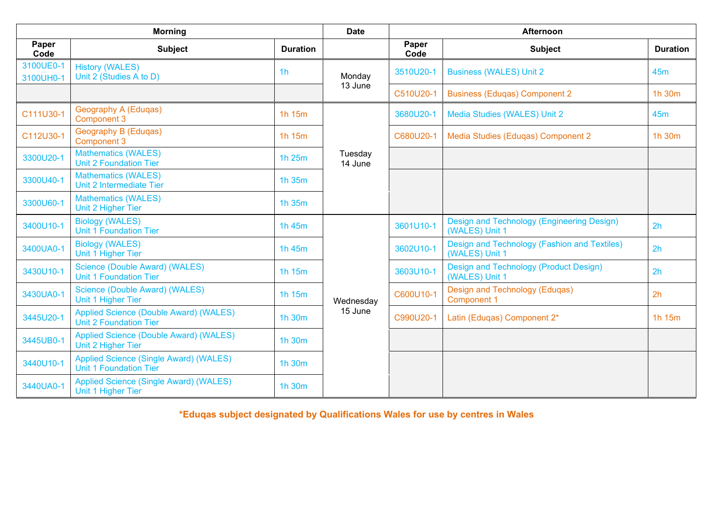| <b>Morning</b>         |                                                                                |                 | <b>Date</b>        | Afternoon     |                                                                 |                 |  |
|------------------------|--------------------------------------------------------------------------------|-----------------|--------------------|---------------|-----------------------------------------------------------------|-----------------|--|
| Paper<br>Code          | <b>Subject</b>                                                                 | <b>Duration</b> |                    | Paper<br>Code | <b>Subject</b>                                                  | <b>Duration</b> |  |
| 3100UE0-1<br>3100UH0-1 | <b>History (WALES)</b><br>Unit 2 (Studies A to D)                              | 1 <sub>h</sub>  | Monday             | 3510U20-1     | <b>Business (WALES) Unit 2</b>                                  | 45 <sub>m</sub> |  |
|                        |                                                                                |                 | 13 June            | C510U20-1     | <b>Business (Eduqas) Component 2</b>                            | 1h 30m          |  |
| C111U30-1              | Geography A (Eduqas)<br><b>Component 3</b>                                     | 1h 15m          |                    | 3680U20-1     | Media Studies (WALES) Unit 2                                    | 45 <sub>m</sub> |  |
| C112U30-1              | Geography B (Eduqas)<br><b>Component 3</b>                                     | 1h 15m          |                    | C680U20-1     | Media Studies (Eduqas) Component 2                              | 1h 30m          |  |
| 3300U20-1              | <b>Mathematics (WALES)</b><br><b>Unit 2 Foundation Tier</b>                    | 1h 25m          | Tuesday<br>14 June |               |                                                                 |                 |  |
| 3300U40-1              | <b>Mathematics (WALES)</b><br>Unit 2 Intermediate Tier                         | 1h 35m          |                    |               |                                                                 |                 |  |
| 3300U60-1              | <b>Mathematics (WALES)</b><br>Unit 2 Higher Tier                               | 1h 35m          |                    |               |                                                                 |                 |  |
| 3400U10-1              | <b>Biology (WALES)</b><br><b>Unit 1 Foundation Tier</b>                        | 1h 45m          |                    | 3601U10-1     | Design and Technology (Engineering Design)<br>(WALES) Unit 1    | 2h              |  |
| 3400UA0-1              | <b>Biology (WALES)</b><br>Unit 1 Higher Tier                                   | 1h 45m          |                    | 3602U10-1     | Design and Technology (Fashion and Textiles)<br>(WALES) Unit 1  | 2h              |  |
| 3430U10-1              | Science (Double Award) (WALES)<br><b>Unit 1 Foundation Tier</b>                | 1h 15m          |                    | 3603U10-1     | <b>Design and Technology (Product Design)</b><br>(WALES) Unit 1 | 2h              |  |
| 3430UA0-1              | Science (Double Award) (WALES)<br>Unit 1 Higher Tier                           | 1h 15m          | Wednesday          | C600U10-1     | Design and Technology (Eduqas)<br><b>Component 1</b>            | 2h              |  |
| 3445U20-1              | <b>Applied Science (Double Award) (WALES)</b><br><b>Unit 2 Foundation Tier</b> | 1h 30m          | 15 June            | C990U20-1     | Latin (Eduqas) Component 2*                                     | 1h 15m          |  |
| 3445UB0-1              | Applied Science (Double Award) (WALES)<br>Unit 2 Higher Tier                   | 1h 30m          |                    |               |                                                                 |                 |  |
| 3440U10-1              | <b>Applied Science (Single Award) (WALES)</b><br><b>Unit 1 Foundation Tier</b> | 1h 30m          |                    |               |                                                                 |                 |  |
| 3440UA0-1              | <b>Applied Science (Single Award) (WALES)</b><br>Unit 1 Higher Tier            | 1h 30m          |                    |               |                                                                 |                 |  |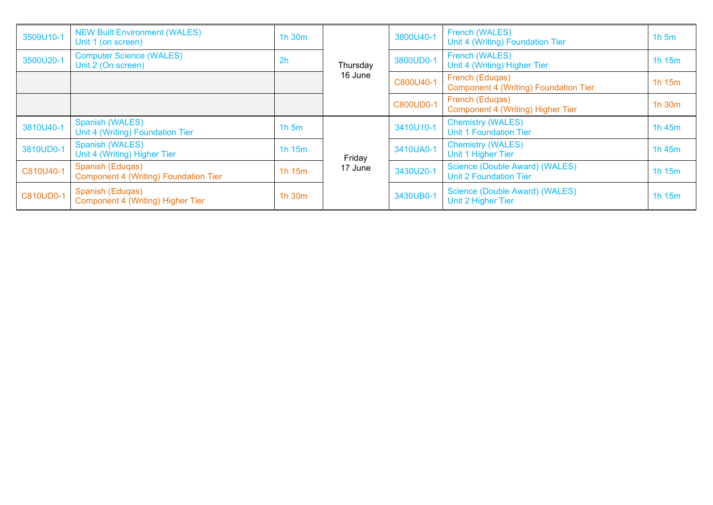| 3509U10-1 | <b>NEW Built Environment (WALES)</b><br>Unit 1 (on screen)       | 1h 30m         |          | 3800U40-1        | French (WALES)<br>Unit 4 (Writing) Foundation Tier              | $1h$ 5m      |
|-----------|------------------------------------------------------------------|----------------|----------|------------------|-----------------------------------------------------------------|--------------|
| 3500U20-1 | <b>Computer Science (WALES)</b><br>Unit 2 (On screen)            | 2 <sub>h</sub> | Thursday | 3800UD0-1        | French (WALES)<br>Unit 4 (Writing) Higher Tier                  | 1h 15m       |
|           |                                                                  |                | 16 June  | C800U40-1        | French (Eduqas)<br>Component 4 (Writing) Foundation Tier        | 1h 15m       |
|           |                                                                  |                |          | <b>C800UD0-1</b> | French (Eduqas)<br>Component 4 (Writing) Higher Tier            | 1h 30m       |
| 3810U40-1 | Spanish (WALES)<br>Unit 4 (Writing) Foundation Tier              | $1h$ 5 $m$     |          | 3410U10-1        | <b>Chemistry (WALES)</b><br><b>Unit 1 Foundation Tier</b>       | 1h 45m       |
| 3810UD0-1 | <b>Spanish (WALES)</b><br>Unit 4 (Writing) Higher Tier           | 1h 15m         | Friday   | 3410UA0-1        | <b>Chemistry (WALES)</b><br>Unit 1 Higher Tier                  | 1h $45m$     |
| C810U40-1 | Spanish (Eduqas)<br><b>Component 4 (Writing) Foundation Tier</b> | 1h 15m         | 17 June  | 3430U20-1        | Science (Double Award) (WALES)<br><b>Unit 2 Foundation Tier</b> | 1h 15m       |
| C810UD0-1 | Spanish (Eduqas)<br>Component 4 (Writing) Higher Tier            | 1h 30m         |          | 3430UB0-1        | Science (Double Award) (WALES)<br>Unit 2 Higher Tier            | 1 $h$ 15 $m$ |